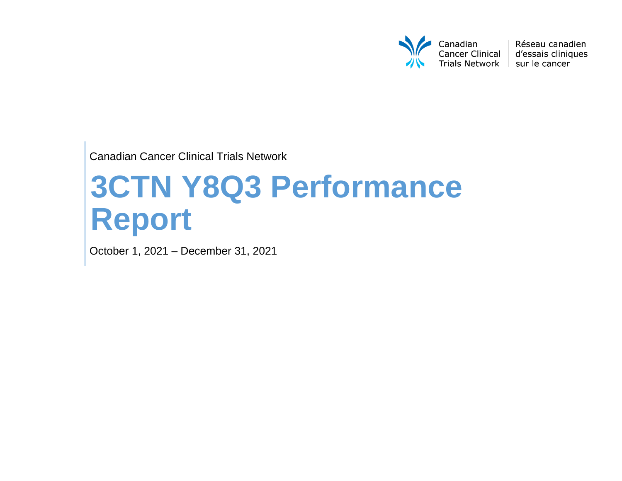

Réseau canadien d'essais cliniques

Canadian Cancer Clinical Trials Network

# **3CTN Y8Q3 Performance Report**

October 1, 2021 – December 31, 2021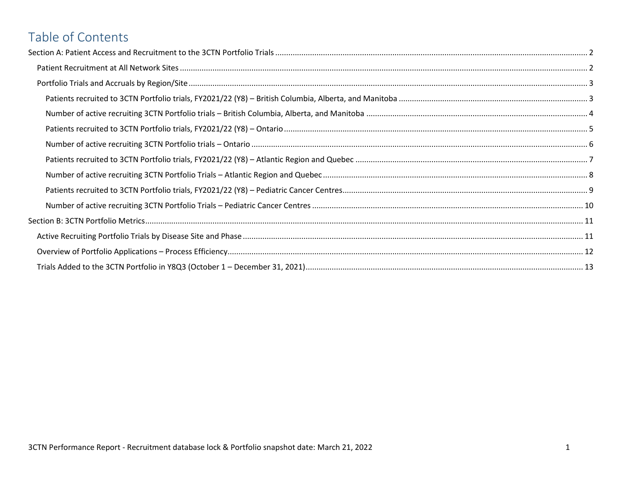# Table of Contents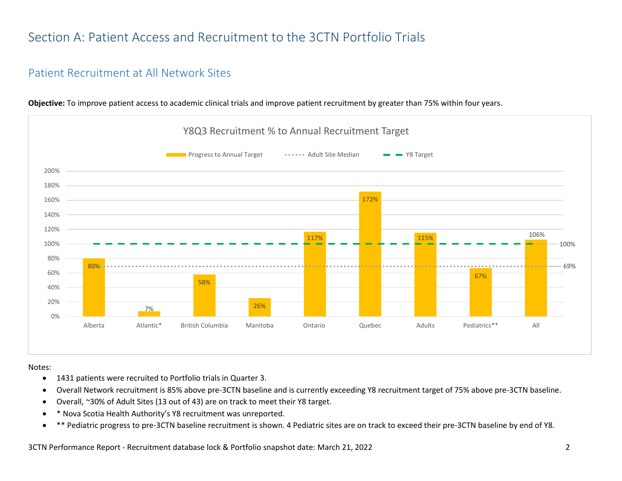# <span id="page-2-0"></span>Section A: Patient Access and Recruitment to the 3CTN Portfolio Trials

#### <span id="page-2-1"></span>Patient Recruitment at All Network Sites



**Objective:** To improve patient access to academic clinical trials and improve patient recruitment by greater than 75% within four years.

Notes:

- 1431 patients were recruited to Portfolio trials in Quarter 3.
- Overall Network recruitment is 85% above pre-3CTN baseline and is currently exceeding Y8 recruitment target of 75% above pre-3CTN baseline.
- Overall, ~30% of Adult Sites (13 out of 43) are on track to meet their Y8 target.
- \* Nova Scotia Health Authority's Y8 recruitment was unreported.
- \*\* Pediatric progress to pre-3CTN baseline recruitment is shown. 4 Pediatric sites are on track to exceed their pre-3CTN baseline by end of Y8.

3CTN Performance Report - Recruitment database lock & Portfolio snapshot date: March 21, 2022 2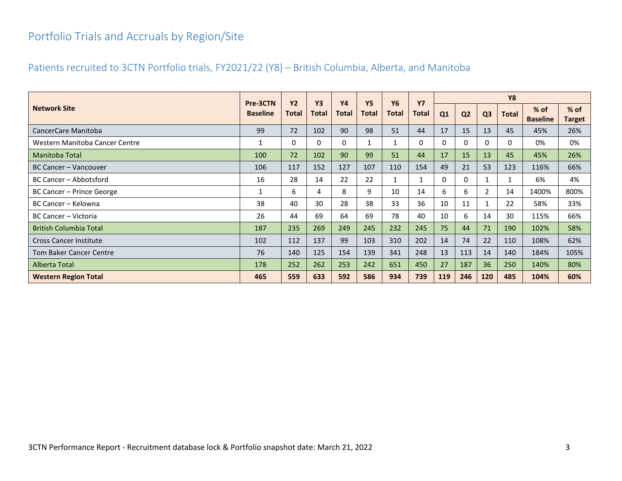## <span id="page-3-0"></span>Portfolio Trials and Accruals by Region/Site

#### <span id="page-3-1"></span>Patients recruited to 3CTN Portfolio trials, FY2021/22 (Y8) – British Columbia, Alberta, and Manitoba

|                                | Pre-3CTN        | <b>Y2</b> | <b>Y3</b>    | <b>Y4</b>    | <b>Y5</b> | <b>Y6</b>    | <b>Y7</b>    |     |                |                | <b>Y8</b>    |                         |                         |
|--------------------------------|-----------------|-----------|--------------|--------------|-----------|--------------|--------------|-----|----------------|----------------|--------------|-------------------------|-------------------------|
| <b>Network Site</b>            | <b>Baseline</b> | Total     | <b>Total</b> | <b>Total</b> | Total     | <b>Total</b> | <b>Total</b> | Q1  | Q <sub>2</sub> | Q <sub>3</sub> | <b>Total</b> | % of<br><b>Baseline</b> | $%$ of<br><b>Target</b> |
| CancerCare Manitoba            | 99              | 72        | 102          | 90           | 98        | 51           | 44           | 17  | 15             | 13             | 45           | 45%                     | 26%                     |
| Western Manitoba Cancer Centre |                 | 0         | 0            | 0            |           | 1            | 0            | 0   | 0              | 0              | 0            | 0%                      | 0%                      |
| Manitoba Total                 | 100             | 72        | 102          | 90           | 99        | 51           | 44           | 17  | 15             | 13             | 45           | 45%                     | 26%                     |
| BC Cancer - Vancouver          | 106             | 117       | 152          | 127          | 107       | 110          | 154          | 49  | 21             | 53             | 123          | 116%                    | 66%                     |
| BC Cancer - Abbotsford         | 16              | 28        | 14           | 22           | 22        |              | 1            | 0   | 0              |                |              | 6%                      | 4%                      |
| BC Cancer - Prince George      |                 | 6         | 4            | 8            | 9         | 10           | 14           | 6   | 6              | $\overline{2}$ | 14           | 1400%                   | 800%                    |
| BC Cancer - Kelowna            | 38              | 40        | 30           | 28           | 38        | 33           | 36           | 10  | 11             |                | 22           | 58%                     | 33%                     |
| BC Cancer - Victoria           | 26              | 44        | 69           | 64           | 69        | 78           | 40           | 10  | 6              | 14             | 30           | 115%                    | 66%                     |
| <b>British Columbia Total</b>  | 187             | 235       | 269          | 249          | 245       | 232          | 245          | 75  | 44             | 71             | 190          | 102%                    | 58%                     |
| <b>Cross Cancer Institute</b>  | 102             | 112       | 137          | 99           | 103       | 310          | 202          | 14  | 74             | 22             | 110          | 108%                    | 62%                     |
| Tom Baker Cancer Centre        | 76              | 140       | 125          | 154          | 139       | 341          | 248          | 13  | 113            | 14             | 140          | 184%                    | 105%                    |
| Alberta Total                  | 178             | 252       | 262          | 253          | 242       | 651          | 450          | 27  | 187            | 36             | 250          | 140%                    | 80%                     |
| <b>Western Region Total</b>    | 465             | 559       | 633          | 592          | 586       | 934          | 739          | 119 | 246            | 120            | 485          | 104%                    | 60%                     |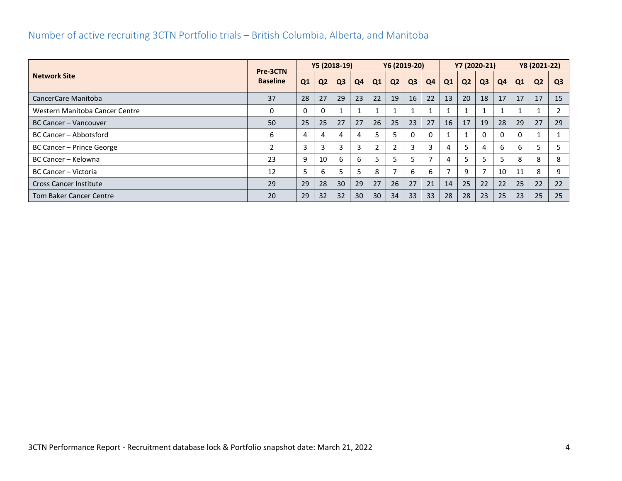#### <span id="page-4-0"></span>Number of active recruiting 3CTN Portfolio trials – British Columbia, Alberta, and Manitoba

|                                | Pre-3CTN        |          |                | Y5 (2018-19)   |                |                | Y6 (2019-20)   |                |    |              |                | Y7 (2020-21)   |                |    | Y8 (2021-22)   |                |
|--------------------------------|-----------------|----------|----------------|----------------|----------------|----------------|----------------|----------------|----|--------------|----------------|----------------|----------------|----|----------------|----------------|
| <b>Network Site</b>            | <b>Baseline</b> | Q1       | Q <sub>2</sub> | Q <sub>3</sub> | Q <sub>4</sub> | Q1             | Q <sub>2</sub> | Q <sub>3</sub> | Q4 | Q1           | Q <sub>2</sub> | Q <sub>3</sub> | Q <sub>4</sub> | Q1 | Q <sub>2</sub> | Q <sub>3</sub> |
| CancerCare Manitoba            | 37              | 28       | 27             | 29             | 23             | 22             | 19             | 16             | 22 | 13           | 20             | 18             | 17             | 17 | 17             | 15             |
| Western Manitoba Cancer Centre | 0               | $\Omega$ |                |                |                | $\mathbf{1}$   |                |                |    |              |                |                |                |    |                |                |
| <b>BC Cancer - Vancouver</b>   | 50              | 25       | 25             | 27             | 27             | 26             | 25             | 23             | 27 | 16           | 17             | 19             | 28             | 29 | 27             | 29             |
| BC Cancer - Abbotsford         | 6               | 4        |                | 4              |                | 5              |                | $\Omega$       | 0  | $\mathbf{A}$ |                |                | 0              | 0  |                |                |
| BC Cancer - Prince George      | $\mathfrak z$   | 3        |                | 3              |                | $\overline{2}$ |                | 3              | 3  | 4            |                | 4              | 6              | 6  |                |                |
| BC Cancer - Kelowna            | 23              | 9        | 10             | 6              | <sub>b</sub>   |                |                | 5              |    | 4            |                | 5              |                | 8  | 8              | 8              |
| BC Cancer - Victoria           | 12              | 5        | <sub>b</sub>   |                |                | 8              |                | 6              | 6  | ⇁            | 9              |                | 10             | 11 | 8              | 9              |
| <b>Cross Cancer Institute</b>  | 29              | 29       | 28             | 30             | 29             | 27             | 26             | 27             | 21 | 14           | 25             | 22             | 22             | 25 | 22             | 22             |
| <b>Tom Baker Cancer Centre</b> | 20              | 29       | 32             | 32             | 30             | 30             | 34             | 33             | 33 | 28           | 28             | 23             | 25             | 23 | 25             | 25             |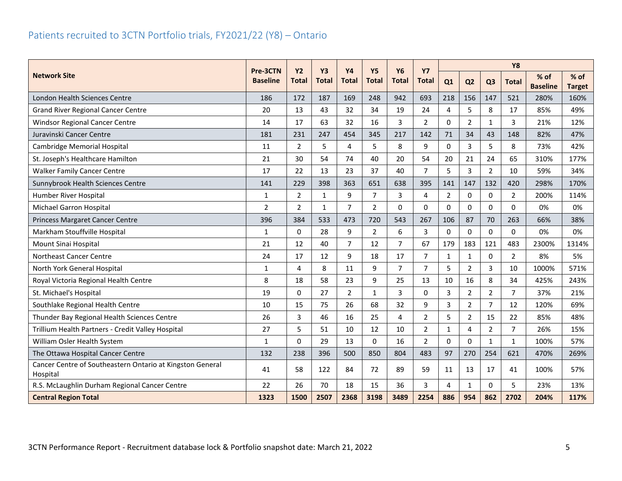<span id="page-5-0"></span>

|                                                                       | Pre-3CTN        | <b>Y2</b>      | <b>Y3</b>    | <b>Y4</b>      | <b>Y5</b>      |                | <b>Y6</b><br><b>Y7</b> |                |                |                | <b>Y8</b>      |                           |                         |
|-----------------------------------------------------------------------|-----------------|----------------|--------------|----------------|----------------|----------------|------------------------|----------------|----------------|----------------|----------------|---------------------------|-------------------------|
| <b>Network Site</b>                                                   | <b>Baseline</b> | <b>Total</b>   | <b>Total</b> | <b>Total</b>   | <b>Total</b>   | <b>Total</b>   | <b>Total</b>           | Q1             | Q <sub>2</sub> | Q <sub>3</sub> | <b>Total</b>   | $%$ of<br><b>Baseline</b> | $%$ of<br><b>Target</b> |
| London Health Sciences Centre                                         | 186             | 172            | 187          | 169            | 248            | 942            | 693                    | 218            | 156            | 147            | 521            | 280%                      | 160%                    |
| <b>Grand River Regional Cancer Centre</b>                             | 20              | 13             | 43           | 32             | 34             | 19             | 24                     | 4              | 5              | 8              | 17             | 85%                       | 49%                     |
| Windsor Regional Cancer Centre                                        | 14              | 17             | 63           | 32             | 16             | 3              | $\overline{2}$         | 0              | $\overline{2}$ | $\mathbf{1}$   | $\overline{3}$ | 21%                       | 12%                     |
| Juravinski Cancer Centre                                              | 181             | 231            | 247          | 454            | 345            | 217            | 142                    | 71             | 34             | 43             | 148            | 82%                       | 47%                     |
| <b>Cambridge Memorial Hospital</b>                                    | 11              | $\overline{2}$ | 5            | 4              | 5              | 8              | 9                      | $\Omega$       | 3              | 5              | 8              | 73%                       | 42%                     |
| St. Joseph's Healthcare Hamilton                                      | 21              | 30             | 54           | 74             | 40             | 20             | 54                     | 20             | 21             | 24             | 65             | 310%                      | 177%                    |
| <b>Walker Family Cancer Centre</b>                                    | 17              | 22             | 13           | 23             | 37             | 40             | 7                      | 5              | 3              | $\overline{2}$ | 10             | 59%                       | 34%                     |
| Sunnybrook Health Sciences Centre                                     | 141             | 229            | 398          | 363            | 651            | 638            | 395                    | 141            | 147            | 132            | 420            | 298%                      | 170%                    |
| Humber River Hospital                                                 | $\mathbf{1}$    | $\overline{2}$ | $\mathbf{1}$ | 9              | $\overline{7}$ | 3              | $\overline{4}$         | $\overline{2}$ | 0              | $\Omega$       | $\overline{2}$ | 200%                      | 114%                    |
| <b>Michael Garron Hospital</b>                                        | $\overline{2}$  | $\overline{2}$ | $\mathbf{1}$ | $\overline{7}$ | $\overline{2}$ | $\Omega$       | $\Omega$               | 0              | $\Omega$       | $\Omega$       | 0              | 0%                        | 0%                      |
| Princess Margaret Cancer Centre                                       | 396             | 384            | 533          | 473            | 720            | 543            | 267                    | 106            | 87             | 70             | 263            | 66%                       | 38%                     |
| Markham Stouffville Hospital                                          | 1               | 0              | 28           | 9              | $\overline{2}$ | 6              | 3                      | 0              | 0              | 0              | 0              | 0%                        | 0%                      |
| Mount Sinai Hospital                                                  | 21              | 12             | 40           | $\overline{7}$ | 12             | $\overline{7}$ | 67                     | 179            | 183            | 121            | 483            | 2300%                     | 1314%                   |
| <b>Northeast Cancer Centre</b>                                        | 24              | 17             | 12           | 9              | 18             | 17             | $\overline{7}$         | $\mathbf{1}$   | $\mathbf{1}$   | $\Omega$       | $\overline{2}$ | 8%                        | 5%                      |
| North York General Hospital                                           | 1               | 4              | 8            | 11             | 9              | $\overline{7}$ | $\overline{7}$         | 5              | $\overline{2}$ | 3              | 10             | 1000%                     | 571%                    |
| Royal Victoria Regional Health Centre                                 | 8               | 18             | 58           | 23             | 9              | 25             | 13                     | 10             | 16             | 8              | 34             | 425%                      | 243%                    |
| St. Michael's Hospital                                                | 19              | 0              | 27           | $\overline{2}$ | $\mathbf{1}$   | $\overline{3}$ | $\Omega$               | 3              | $\overline{2}$ | $\overline{2}$ | $\overline{7}$ | 37%                       | 21%                     |
| Southlake Regional Health Centre                                      | 10              | 15             | 75           | 26             | 68             | 32             | 9                      | 3              | $\overline{2}$ | $\overline{7}$ | 12             | 120%                      | 69%                     |
| Thunder Bay Regional Health Sciences Centre                           | 26              | 3              | 46           | 16             | 25             | 4              | $\overline{2}$         | 5              | $\overline{2}$ | 15             | 22             | 85%                       | 48%                     |
| Trillium Health Partners - Credit Valley Hospital                     | 27              | 5              | 51           | 10             | 12             | 10             | $\overline{2}$         | $\mathbf{1}$   | 4              | $\overline{2}$ | $\overline{7}$ | 26%                       | 15%                     |
| William Osler Health System                                           | $\mathbf{1}$    | $\Omega$       | 29           | 13             | 0              | 16             | $\overline{2}$         | 0              | 0              | $\mathbf{1}$   | $\mathbf{1}$   | 100%                      | 57%                     |
| The Ottawa Hospital Cancer Centre                                     | 132             | 238            | 396          | 500            | 850            | 804            | 483                    | 97             | 270            | 254            | 621            | 470%                      | 269%                    |
| Cancer Centre of Southeastern Ontario at Kingston General<br>Hospital | 41              | 58             | 122          | 84             | 72             | 89             | 59                     | 11             | 13             | 17             | 41             | 100%                      | 57%                     |
| R.S. McLaughlin Durham Regional Cancer Centre                         | 22              | 26             | 70           | 18             | 15             | 36             | 3                      | 4              | $\mathbf{1}$   | $\Omega$       | 5              | 23%                       | 13%                     |
| <b>Central Region Total</b>                                           | 1323            | 1500           | 2507         | 2368           | 3198           | 3489           | 2254                   | 886            | 954            | 862            | 2702           | 204%                      | 117%                    |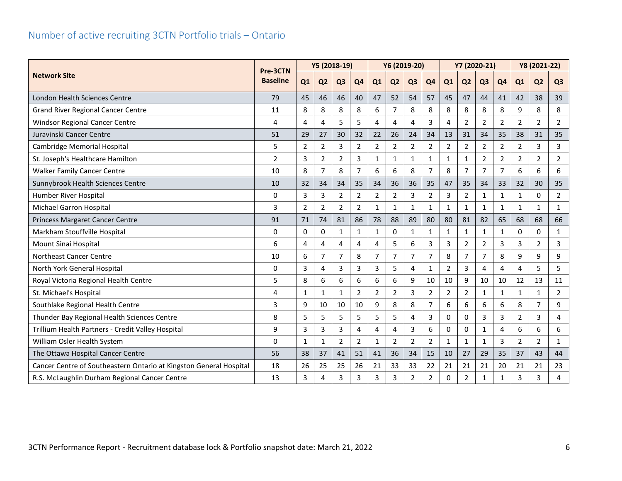<span id="page-6-0"></span>

|                                                                    | Y5 (2018-19)<br>Pre-3CTN |                |                |                | Y6 (2019-20)   |                |                |                | Y7 (2020-21)   |                |                |                | Y8 (2021-22)   |                |                |                |
|--------------------------------------------------------------------|--------------------------|----------------|----------------|----------------|----------------|----------------|----------------|----------------|----------------|----------------|----------------|----------------|----------------|----------------|----------------|----------------|
| <b>Network Site</b>                                                | <b>Baseline</b>          | Q1             | Q <sub>2</sub> | Q <sub>3</sub> | Q <sub>4</sub> | Q1             | Q <sub>2</sub> | Q <sub>3</sub> | Q <sub>4</sub> | Q1             | Q <sub>2</sub> | Q <sub>3</sub> | Q <sub>4</sub> | Q1             | Q <sub>2</sub> | Q <sub>3</sub> |
| London Health Sciences Centre                                      | 79                       | 45             | 46             | 46             | 40             | 47             | 52             | 54             | 57             | 45             | 47             | 44             | 41             | 42             | 38             | 39             |
| <b>Grand River Regional Cancer Centre</b>                          | 11                       | 8              | 8              | 8              | 8              | 6              | 7              | 8              | 8              | 8              | 8              | 8              | 8              | 9              | 8              | 8              |
| <b>Windsor Regional Cancer Centre</b>                              | 4                        | 4              | 4              | 5              | 5              | 4              | 4              | 4              | 3              | 4              | $\overline{2}$ | $\overline{2}$ | $\overline{2}$ | $\overline{2}$ | $\overline{2}$ | $\overline{2}$ |
| Juravinski Cancer Centre                                           | 51                       | 29             | 27             | 30             | 32             | 22             | 26             | 24             | 34             | 13             | 31             | 34             | 35             | 38             | 31             | 35             |
| Cambridge Memorial Hospital                                        | 5                        | $\overline{2}$ | $\overline{2}$ | 3              | 2              | $\overline{2}$ | $\overline{2}$ | $\overline{2}$ | $\overline{2}$ | $\overline{2}$ | $\overline{2}$ | $\overline{2}$ | $\overline{2}$ | $\overline{2}$ | 3              | 3              |
| St. Joseph's Healthcare Hamilton                                   | 2                        | 3              | $\overline{2}$ | $\overline{2}$ | 3              | $\mathbf{1}$   | $\mathbf{1}$   | $\mathbf{1}$   | 1              | $\mathbf{1}$   | 1              | $\overline{2}$ | $\overline{2}$ | $\overline{2}$ | $\overline{2}$ | $\overline{2}$ |
| <b>Walker Family Cancer Centre</b>                                 | 10                       | 8              | 7              | 8              | 7              | 6              | 6              | 8              | $\overline{7}$ | 8              | 7              | $\overline{7}$ | 7              | 6              | 6              | 6              |
| Sunnybrook Health Sciences Centre                                  | 10                       | 32             | 34             | 34             | 35             | 34             | 36             | 36             | 35             | 47             | 35             | 34             | 33             | 32             | 30             | 35             |
| Humber River Hospital                                              | 0                        | 3              | 3              | $\overline{2}$ | $\overline{2}$ | $\overline{2}$ | $\overline{2}$ | 3              | $\overline{2}$ | 3              | $\overline{2}$ | $\mathbf{1}$   | $\mathbf{1}$   | $\mathbf{1}$   | $\Omega$       | $\overline{2}$ |
| Michael Garron Hospital                                            | 3                        | $\overline{2}$ | $\overline{2}$ | $\overline{2}$ | $\overline{2}$ | $\mathbf{1}$   | $\mathbf{1}$   | $\mathbf{1}$   | 1              | $\mathbf{1}$   | 1              | 1              | 1              | 1              | 1              | $\mathbf{1}$   |
| Princess Margaret Cancer Centre                                    | 91                       | 71             | 74             | 81             | 86             | 78             | 88             | 89             | 80             | 80             | 81             | 82             | 65             | 68             | 68             | 66             |
| Markham Stouffville Hospital                                       | 0                        | $\Omega$       | 0              | $\mathbf{1}$   | 1              | $\mathbf{1}$   | 0              | $\mathbf{1}$   | 1              | $\mathbf{1}$   | 1              | $\mathbf{1}$   | 1              | $\Omega$       | 0              | $\mathbf{1}$   |
| Mount Sinai Hospital                                               | 6                        | 4              | 4              | 4              | 4              | 4              | 5              | 6              | 3              | 3              | 2              | 2              | 3              | 3              | 2              | 3              |
| Northeast Cancer Centre                                            | 10                       | 6              | $\overline{7}$ | $\overline{7}$ | 8              | $\overline{7}$ | $\overline{7}$ | $\overline{7}$ | $\overline{7}$ | 8              | 7              | $\overline{7}$ | 8              | 9              | 9              | 9              |
| North York General Hospital                                        | 0                        | 3              | 4              | 3              | 3              | 3              | 5              | 4              | 1              | $\overline{2}$ | 3              | 4              | 4              | 4              | 5              | 5              |
| Royal Victoria Regional Health Centre                              | 5                        | 8              | 6              | 6              | 6              | 6              | 6              | 9              | 10             | 10             | 9              | 10             | 10             | 12             | 13             | 11             |
| St. Michael's Hospital                                             | 4                        | 1              | $\mathbf{1}$   | $\mathbf{1}$   | $\overline{2}$ | $\overline{2}$ | $\overline{2}$ | 3              | $\overline{2}$ | $\overline{2}$ | $\overline{2}$ | $\mathbf{1}$   | 1              | $\mathbf{1}$   | $\mathbf{1}$   | $\overline{2}$ |
| Southlake Regional Health Centre                                   | 3                        | 9              | 10             | 10             | 10             | 9              | 8              | 8              | 7              | 6              | 6              | 6              | 6              | 8              | 7              | 9              |
| Thunder Bay Regional Health Sciences Centre                        | 8                        | 5              | 5              | 5              | 5              | 5              | 5              | 4              | 3              | 0              | $\Omega$       | 3              | 3              | $\overline{2}$ | 3              | $\overline{4}$ |
| Trillium Health Partners - Credit Valley Hospital                  | 9                        | 3              | 3              | 3              | 4              | 4              | 4              | 3              | 6              | 0              | 0              | 1              | 4              | 6              | 6              | 6              |
| William Osler Health System                                        | 0                        | $\mathbf{1}$   | 1              | $\overline{2}$ | 2              | $\mathbf{1}$   | $\overline{2}$ | $\overline{2}$ | $\overline{2}$ | $\mathbf{1}$   | $\mathbf{1}$   | 1              | 3              | $\overline{2}$ | $\overline{2}$ | $\mathbf{1}$   |
| The Ottawa Hospital Cancer Centre                                  | 56                       | 38             | 37             | 41             | 51             | 41             | 36             | 34             | 15             | 10             | 27             | 29             | 35             | 37             | 43             | 44             |
| Cancer Centre of Southeastern Ontario at Kingston General Hospital | 18                       | 26             | 25             | 25             | 26             | 21             | 33             | 33             | 22             | 21             | 21             | 21             | 20             | 21             | 21             | 23             |
| R.S. McLaughlin Durham Regional Cancer Centre                      | 13                       | 3              | 4              | 3              | 3              | 3              | 3              | $\overline{2}$ | $\overline{2}$ | $\Omega$       | $\overline{2}$ | 1              | $\mathbf{1}$   | 3              | 3              | 4              |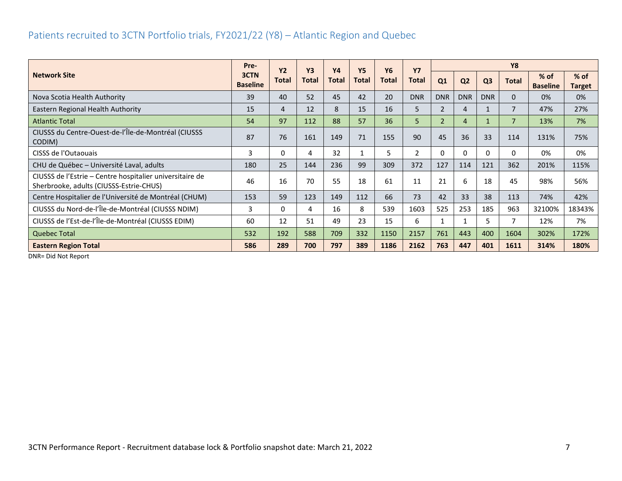#### <span id="page-7-0"></span>Patients recruited to 3CTN Portfolio trials, FY2021/22 (Y8) – Atlantic Region and Quebec

|                                                                                                     | Pre-                    | <b>Y2</b> | <b>Y3</b>    | <b>Y4</b> | <b>Y5</b>    | <b>Y6</b> | <b>Y7</b>  |                |                |                | <b>Y8</b>      |                           |                         |
|-----------------------------------------------------------------------------------------------------|-------------------------|-----------|--------------|-----------|--------------|-----------|------------|----------------|----------------|----------------|----------------|---------------------------|-------------------------|
| <b>Network Site</b>                                                                                 | 3CTN<br><b>Baseline</b> | Total     | <b>Total</b> | Total     | <b>Total</b> | Total     | Total      | Q1             | Q <sub>2</sub> | Q <sub>3</sub> | <b>Total</b>   | $%$ of<br><b>Baseline</b> | $%$ of<br><b>Target</b> |
| Nova Scotia Health Authority                                                                        | 39                      | 40        | 52           | 45        | 42           | 20        | <b>DNR</b> | <b>DNR</b>     | <b>DNR</b>     | <b>DNR</b>     | $\Omega$       | 0%                        | 0%                      |
| Eastern Regional Health Authority                                                                   | 15                      | 4         | 12           | 8         | 15           | 16        | 5          | $\overline{2}$ | 4              |                | 7              | 47%                       | 27%                     |
| <b>Atlantic Total</b>                                                                               | 54                      | 97        | 112          | 88        | 57           | 36        | 5.         | $\overline{2}$ | 4              | $\mathbf{1}$   | $\overline{7}$ | 13%                       | 7%                      |
| CIUSSS du Centre-Ouest-de-l'Île-de-Montréal (CIUSSS<br>CODIM)                                       | 87                      | 76        | 161          | 149       | 71           | 155       | 90         | 45             | 36             | 33             | 114            | 131%                      | 75%                     |
| CISSS de l'Outaouais                                                                                | 3                       | 0         | 4            | 32        |              | 5         |            | 0              | 0              | $\Omega$       | $\Omega$       | 0%                        | 0%                      |
| CHU de Québec - Université Laval, adults                                                            | 180                     | 25        | 144          | 236       | 99           | 309       | 372        | 127            | 114            | 121            | 362            | 201%                      | 115%                    |
| CIUSSS de l'Estrie – Centre hospitalier universitaire de<br>Sherbrooke, adults (CIUSSS-Estrie-CHUS) | 46                      | 16        | 70           | 55        | 18           | 61        | 11         | 21             | 6              | 18             | 45             | 98%                       | 56%                     |
| Centre Hospitalier de l'Université de Montréal (CHUM)                                               | 153                     | 59        | 123          | 149       | 112          | 66        | 73         | 42             | 33             | 38             | 113            | 74%                       | 42%                     |
| CIUSSS du Nord-de-l'Île-de-Montréal (CIUSSS NDIM)                                                   | 3                       | 0         | 4            | 16        | 8            | 539       | 1603       | 525            | 253            | 185            | 963            | 32100%                    | 18343%                  |
| CIUSSS de l'Est-de-l'Île-de-Montréal (CIUSSS EDIM)                                                  | 60                      | 12        | 51           | 49        | 23           | 15        | 6          | 1              | 1              | 5.             | 7              | 12%                       | 7%                      |
| <b>Quebec Total</b>                                                                                 | 532                     | 192       | 588          | 709       | 332          | 1150      | 2157       | 761            | 443            | 400            | 1604           | 302%                      | 172%                    |
| <b>Eastern Region Total</b>                                                                         | 586                     | 289       | 700          | 797       | 389          | 1186      | 2162       | 763            | 447            | 401            | 1611           | 314%                      | 180%                    |

DNR= Did Not Report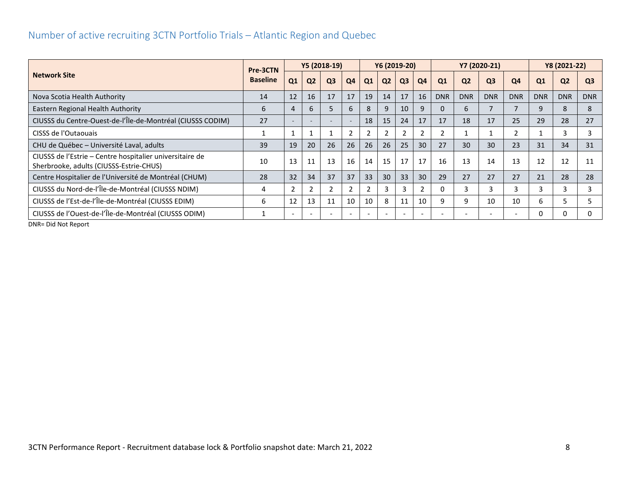<span id="page-8-0"></span>

|                                                                                                     | Pre-3CTN        |                          |                | Y5 (2018-19)   |                |                          |                | Y6 (2019-20)   |                          |            |                | Y7 (2020-21)   |                |            | Y8 (2021-22)   |                |
|-----------------------------------------------------------------------------------------------------|-----------------|--------------------------|----------------|----------------|----------------|--------------------------|----------------|----------------|--------------------------|------------|----------------|----------------|----------------|------------|----------------|----------------|
| <b>Network Site</b>                                                                                 | <b>Baseline</b> | Q1                       | Q <sub>2</sub> | Q <sub>3</sub> | Q <sub>4</sub> | Q1                       | Q <sub>2</sub> | Q <sub>3</sub> | Q4                       | Q1         | Q <sub>2</sub> | Q <sub>3</sub> | Q <sub>4</sub> | Q1         | Q <sub>2</sub> | Q <sub>3</sub> |
| Nova Scotia Health Authority                                                                        | 14              | 12                       | 16             | 17             | 17             | 19                       | 14             | 17             | 16                       | <b>DNR</b> | <b>DNR</b>     | <b>DNR</b>     | <b>DNR</b>     | <b>DNR</b> | <b>DNR</b>     | <b>DNR</b>     |
| Eastern Regional Health Authority                                                                   | 6               | 4                        | 6              | 5              | 6              | 8                        |                | 10             | 9                        | 0          | 6              |                |                |            | 8              | 8              |
| CIUSSS du Centre-Ouest-de-l'Île-de-Montréal (CIUSSS CODIM)                                          | 27              |                          |                |                |                | 18                       | 15             | 24             | 17                       | 17         | 18             | 17             | 25             | 29         | 28             | 27             |
| CISSS de l'Outaouais                                                                                |                 |                          |                |                |                | 2                        |                |                | 2                        |            |                |                |                |            | 3              | 3              |
| CHU de Québec - Université Laval, adults                                                            | 39              | 19                       | 20             | 26             | 26             | 26                       | 26             | 25             | 30                       | 27         | 30             | 30             | 23             | 31         | 34             | 31             |
| CIUSSS de l'Estrie – Centre hospitalier universitaire de<br>Sherbrooke, adults (CIUSSS-Estrie-CHUS) | 10              | 13                       | 11             | 13             | 16             | 14                       | 15             | 17             | 17                       | 16         | 13             | 14             | 13             | 12         | 12             | 11             |
| Centre Hospitalier de l'Université de Montréal (CHUM)                                               | 28              | 32                       | 34             | 37             | 37             | 33                       | 30             | 33             | 30                       | 29         | 27             | 27             | 27             | 21         | 28             | 28             |
| CIUSSS du Nord-de-l'Île-de-Montréal (CIUSSS NDIM)                                                   | 4               | $\overline{2}$           |                |                |                |                          |                | 3              |                          | 0          |                |                |                |            | 3              |                |
| CIUSSS de l'Est-de-l'Île-de-Montréal (CIUSSS EDIM)                                                  | 6               | 12                       | 13             | 11             | 10             | 10                       | 8              | 11             | 10                       | 9          | 9              | 10             | 10             | h.         |                |                |
| CIUSSS de l'Ouest-de-l'Île-de-Montréal (CIUSSS ODIM)                                                |                 | $\overline{\phantom{a}}$ |                |                |                | $\overline{\phantom{a}}$ |                |                | $\overline{\phantom{a}}$ |            |                |                |                | 0          | 0              |                |
| $DMD = D/dN + Dq$                                                                                   |                 |                          |                |                |                |                          |                |                |                          |            |                |                |                |            |                |                |

DNR= Did Not Report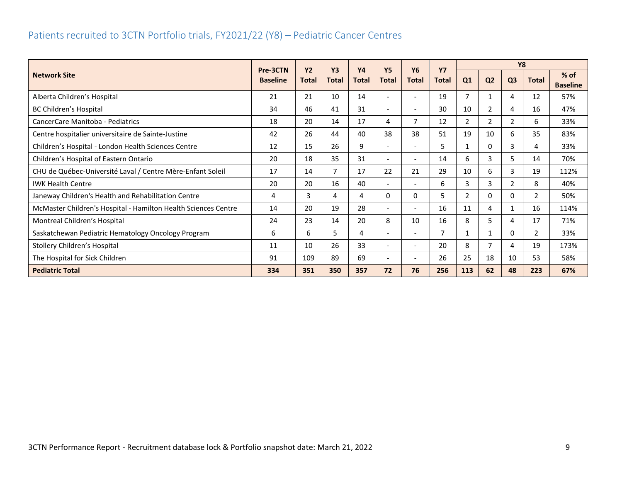#### <span id="page-9-0"></span>Patients recruited to 3CTN Portfolio trials, FY2021/22 (Y8) – Pediatric Cancer Centres

|                                                                |                             | <b>Y2</b>    | <b>Y3</b>    | <b>Y4</b>    | <b>Y5</b>                    | <b>Y6</b>                | <b>Y7</b>    |                |                | <b>Y8</b>      |                |                           |
|----------------------------------------------------------------|-----------------------------|--------------|--------------|--------------|------------------------------|--------------------------|--------------|----------------|----------------|----------------|----------------|---------------------------|
| <b>Network Site</b>                                            | Pre-3CTN<br><b>Baseline</b> | <b>Total</b> | <b>Total</b> | <b>Total</b> | <b>Total</b>                 | <b>Total</b>             | <b>Total</b> | Q1             | Q <sub>2</sub> | Q <sub>3</sub> | <b>Total</b>   | $%$ of<br><b>Baseline</b> |
| Alberta Children's Hospital                                    | 21                          | 21           | 10           | 14           | $\overline{\phantom{a}}$     |                          | 19           | 7              |                | 4              | 12             | 57%                       |
| BC Children's Hospital                                         | 34                          | 46           | 41           | 31           | $\overline{\phantom{a}}$     |                          | 30           | 10             | $\overline{2}$ | 4              | 16             | 47%                       |
| CancerCare Manitoba - Pediatrics                               | 18                          | 20           | 14           | 17           | 4                            | 7                        | 12           | $\overline{2}$ | $\overline{2}$ | 2              | 6              | 33%                       |
| Centre hospitalier universitaire de Sainte-Justine             | 42                          | 26           | 44           | 40           | 38                           | 38                       | 51           | 19             | 10             | 6              | 35             | 83%                       |
| Children's Hospital - London Health Sciences Centre            | 12                          | 15           | 26           | 9            | $\qquad \qquad \blacksquare$ |                          | 5            | 1              | 0              | 3              | 4              | 33%                       |
| Children's Hospital of Eastern Ontario                         | 20                          | 18           | 35           | 31           | $\overline{\phantom{a}}$     |                          | 14           | 6              | 3              | 5              | 14             | 70%                       |
| CHU de Québec-Université Laval / Centre Mère-Enfant Soleil     | 17                          | 14           | 7            | 17           | 22                           | 21                       | 29           | 10             | 6              | 3              | 19             | 112%                      |
| <b>IWK Health Centre</b>                                       | 20                          | 20           | 16           | 40           | $\overline{\phantom{a}}$     | ٠                        | 6            | 3              | 3              | $\overline{2}$ | 8              | 40%                       |
| Janeway Children's Health and Rehabilitation Centre            | 4                           | 3            | 4            | 4            | 0                            | 0                        | 5            | 2              | 0              | 0              | $\mathbf{2}$   | 50%                       |
| McMaster Children's Hospital - Hamilton Health Sciences Centre | 14                          | 20           | 19           | 28           | $\overline{\phantom{a}}$     |                          | 16           | 11             | 4              |                | 16             | 114%                      |
| Montreal Children's Hospital                                   | 24                          | 23           | 14           | 20           | 8                            | 10                       | 16           | 8              | 5              | 4              | 17             | 71%                       |
| Saskatchewan Pediatric Hematology Oncology Program             | 6                           | 6            | 5.           | 4            | $\overline{\phantom{a}}$     | $\overline{\phantom{a}}$ | 7            | 1              | 1              | 0              | $\overline{2}$ | 33%                       |
| Stollery Children's Hospital                                   | 11                          | 10           | 26           | 33           | $\overline{\phantom{a}}$     | $\overline{\phantom{a}}$ | 20           | 8              |                | 4              | 19             | 173%                      |
| The Hospital for Sick Children                                 | 91                          | 109          | 89           | 69           | $\overline{\phantom{a}}$     |                          | 26           | 25             | 18             | 10             | 53             | 58%                       |
| <b>Pediatric Total</b>                                         | 334                         | 351          | 350          | 357          | 72                           | 76                       | 256          | 113            | 62             | 48             | 223            | 67%                       |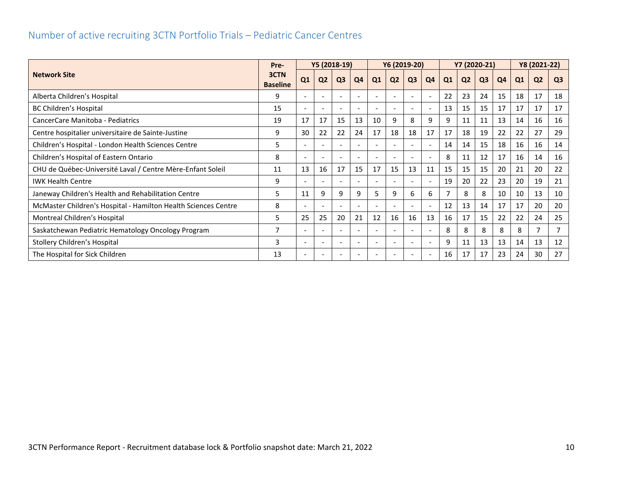<span id="page-10-0"></span>

|                                                                | Pre-                    |                          | Y5 (2018-19)   |                          |    |                          | Y6 (2019-20)   |                          |                          |                |                | Y7 (2020-21)   |                |                | Y8 (2021-22)   |                |
|----------------------------------------------------------------|-------------------------|--------------------------|----------------|--------------------------|----|--------------------------|----------------|--------------------------|--------------------------|----------------|----------------|----------------|----------------|----------------|----------------|----------------|
| <b>Network Site</b>                                            | 3CTN<br><b>Baseline</b> | Q1                       | Q <sub>2</sub> | Q <sub>3</sub>           | Q4 | Q1                       | Q <sub>2</sub> | Q <sub>3</sub>           | Q4                       | Q <sub>1</sub> | Q <sub>2</sub> | Q <sub>3</sub> | Q <sub>4</sub> | Q <sub>1</sub> | Q <sub>2</sub> | Q <sub>3</sub> |
| Alberta Children's Hospital                                    | 9                       | $\overline{\phantom{a}}$ |                |                          |    | ۰                        |                | $\overline{\phantom{a}}$ |                          | 22             | 23             | 24             | 15             | 18             | 17             | 18             |
| <b>BC Children's Hospital</b>                                  | 15                      | $\overline{\phantom{a}}$ |                | $\sim$                   |    | $\overline{\phantom{a}}$ |                | $\overline{\phantom{a}}$ | $\overline{\phantom{0}}$ | 13             | 15             | 15             | 17             | 17             | 17             | 17             |
| CancerCare Manitoba - Pediatrics                               | 19                      | 17                       | 17             | 15                       | 13 | 10                       | 9              | 8                        | 9                        | 9              | 11             | 11             | 13             | 14             | 16             | 16             |
| Centre hospitalier universitaire de Sainte-Justine             | 9                       | 30                       | 22             | 22                       | 24 | 17                       | 18             | 18                       | 17                       | 17             | 18             | 19             | 22             | 22             | 27             | 29             |
| Children's Hospital - London Health Sciences Centre            | 5                       | $\overline{\phantom{a}}$ |                |                          |    | ۰                        |                | $\overline{\phantom{a}}$ |                          | 14             | 14             | 15             | 18             | 16             | 16             | 14             |
| Children's Hospital of Eastern Ontario                         | 8                       | $\overline{\phantom{a}}$ |                | $\overline{\phantom{a}}$ |    | $\overline{\phantom{a}}$ |                | $\overline{\phantom{a}}$ |                          | 8              | 11             | 12             | 17             | 16             | 14             | 16             |
| CHU de Québec-Université Laval / Centre Mère-Enfant Soleil     | 11                      | 13                       | 16             | 17                       | 15 | 17                       | 15             | 13                       | 11                       | 15             | 15             | 15             | 20             | 21             | 20             | 22             |
| <b>IWK Health Centre</b>                                       | 9                       | $\overline{\phantom{a}}$ |                | $\overline{\phantom{a}}$ |    | $\overline{\phantom{a}}$ |                | $\overline{\phantom{a}}$ | $\overline{\phantom{a}}$ | 19             | 20             | 22             | 23             | 20             | 19             | 21             |
| Janeway Children's Health and Rehabilitation Centre            | 5                       | 11                       | 9              | 9                        | 9  | 5                        | 9              | 6                        | 6                        |                | 8              | 8              | 10             | 10             | 13             | 10             |
| McMaster Children's Hospital - Hamilton Health Sciences Centre | 8                       | $\overline{\phantom{a}}$ |                | $\overline{\phantom{a}}$ |    | $\overline{\phantom{a}}$ |                | $\overline{\phantom{a}}$ | $\overline{\phantom{0}}$ | 12             | 13             | 14             | 17             | 17             | 20             | 20             |
| Montreal Children's Hospital                                   | 5                       | 25                       | 25             | 20                       | 21 | 12                       | 16             | 16                       | 13                       | 16             | 17             | 15             | 22             | 22             | 24             | 25             |
| Saskatchewan Pediatric Hematology Oncology Program             | 7                       | $\overline{\phantom{a}}$ |                | $\overline{\phantom{a}}$ |    | $\overline{\phantom{a}}$ |                | $\overline{\phantom{a}}$ | $\overline{\phantom{a}}$ | 8              | 8              | 8              | 8              | 8              | 7              | 7              |
| Stollery Children's Hospital                                   | 3                       | $\overline{\phantom{a}}$ |                | $\overline{\phantom{a}}$ |    | ٠                        |                | $\overline{\phantom{a}}$ |                          | 9              | 11             | 13             | 13             | 14             | 13             | 12             |
| The Hospital for Sick Children                                 | 13                      | $\overline{\phantom{a}}$ |                | $\overline{\phantom{a}}$ |    | $\overline{\phantom{a}}$ |                | $\overline{\phantom{a}}$ | $\overline{\phantom{a}}$ | 16             | 17             | 17             | 23             | 24             | 30             | 27             |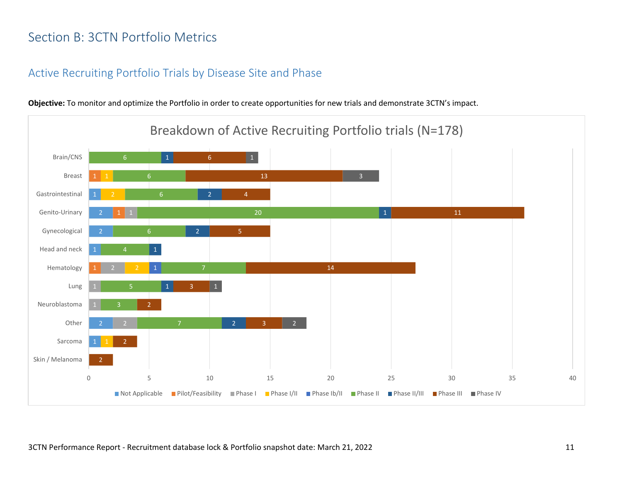## <span id="page-11-0"></span>Section B: 3CTN Portfolio Metrics

#### <span id="page-11-1"></span>Active Recruiting Portfolio Trials by Disease Site and Phase

2 2 2 2 2 4 20 1 2 1  $\overline{2}$ 1 2 2 3 2 3 14 5 11 4 13 6 2  $\vert 1 \vert$ 3 1 0 5 10 15 20 25 30 35 40 Skin / Melanoma Sarcoma Other Neuroblastoma Lung Hematology Head and neck Gynecological Genito-Urinary Gastrointestinal Breast Brain/CNS Breakdown of Active Recruiting Portfolio trials (N=178) Not Applicable Pilot/Feasibility Phase I Phase I/II Phase Ib/II Phase II Phase II/III Phase III Phase IV

**Objective:** To monitor and optimize the Portfolio in order to create opportunities for new trials and demonstrate 3CTN's impact.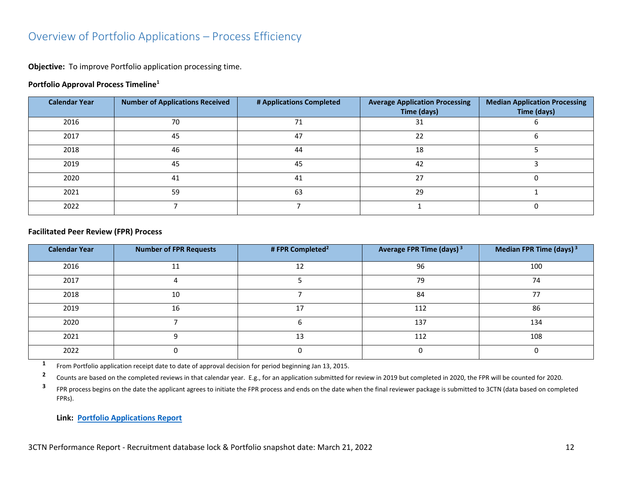#### <span id="page-12-0"></span>Overview of Portfolio Applications – Process Efficiency

**Objective:** To improve Portfolio application processing time.

#### **Portfolio Approval Process Timeline<sup>1</sup>**

| <b>Calendar Year</b> | <b>Number of Applications Received</b> | # Applications Completed | <b>Average Application Processing</b><br>Time (days) | <b>Median Application Processing</b><br>Time (days) |
|----------------------|----------------------------------------|--------------------------|------------------------------------------------------|-----------------------------------------------------|
| 2016                 | 70                                     | 71                       | 31                                                   |                                                     |
| 2017                 | 45                                     | 47                       | 22                                                   |                                                     |
| 2018                 | 46                                     | 44                       | 18                                                   |                                                     |
| 2019                 | 45                                     | 45                       | 42                                                   |                                                     |
| 2020                 | 41                                     | 41                       | 27                                                   |                                                     |
| 2021                 | 59                                     | 63                       | 29                                                   |                                                     |
| 2022                 |                                        |                          |                                                      |                                                     |

#### **Facilitated Peer Review (FPR) Process**

| <b>Calendar Year</b> | <b>Number of FPR Requests</b> | # FPR Completed <sup>2</sup> | Average FPR Time (days) <sup>3</sup> | Median FPR Time (days) <sup>3</sup> |
|----------------------|-------------------------------|------------------------------|--------------------------------------|-------------------------------------|
| 2016                 | 11                            | 12                           | 96                                   | 100                                 |
| 2017                 |                               |                              | 79                                   | 74                                  |
| 2018                 | 10                            |                              | 84                                   | フフ                                  |
| 2019                 | 16                            | 17                           | 112                                  | 86                                  |
| 2020                 |                               |                              | 137                                  | 134                                 |
| 2021                 |                               | 13                           | 112                                  | 108                                 |
| 2022                 |                               |                              |                                      |                                     |

**1** From Portfolio application receipt date to date of approval decision for period beginning Jan 13, 2015.

**2** Counts are based on the completed reviews in that calendar year. E.g., for an application submitted for review in 2019 but completed in 2020, the FPR will be counted for 2020.

**3** FPR process begins on the date the applicant agrees to initiate the FPR process and ends on the date when the final reviewer package is submitted to 3CTN (data based on completed FPRs).

**Link: [Portfolio Applications Report](https://app.powerbi.com/view?r=eyJrIjoiNDkxODMzYTctYjhkZi00MjhkLWJiNzMtMjcyYmU2MmE4MjM5IiwidCI6IjlkZjk0OWY4LWE2ZWItNDE5ZC05Y2FhLTFmOGM4M2RiNjc0ZiJ9)**